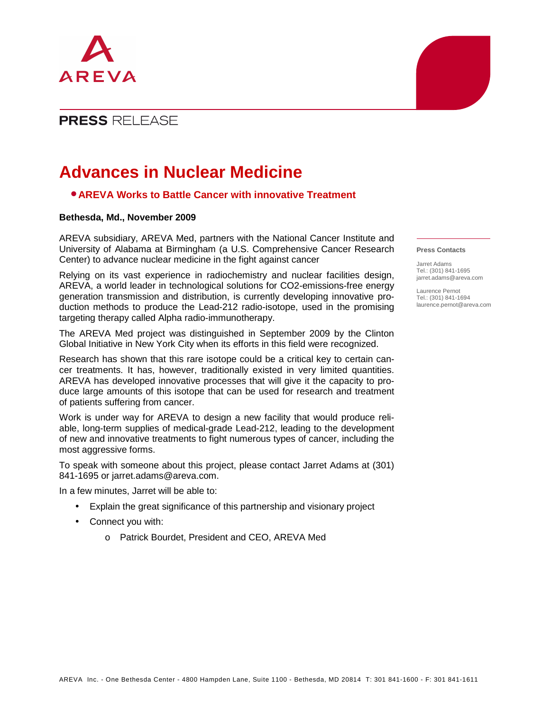

## **PRESS RELEASE**

# **Advances in Nuclear Medicine**

### • **AREVA Works to Battle Cancer with innovative Treatment**

#### **Bethesda, Md., November 2009**

AREVA subsidiary, AREVA Med, partners with the National Cancer Institute and University of Alabama at Birmingham (a U.S. Comprehensive Cancer Research Center) to advance nuclear medicine in the fight against cancer

Relying on its vast experience in radiochemistry and nuclear facilities design, AREVA, a world leader in technological solutions for CO2-emissions-free energy generation transmission and distribution, is currently developing innovative production methods to produce the Lead-212 radio-isotope, used in the promising targeting therapy called Alpha radio-immunotherapy.

The AREVA Med project was distinguished in September 2009 by the Clinton Global Initiative in New York City when its efforts in this field were recognized.

Research has shown that this rare isotope could be a critical key to certain cancer treatments. It has, however, traditionally existed in very limited quantities. AREVA has developed innovative processes that will give it the capacity to produce large amounts of this isotope that can be used for research and treatment of patients suffering from cancer.

Work is under way for AREVA to design a new facility that would produce reliable, long-term supplies of medical-grade Lead-212, leading to the development of new and innovative treatments to fight numerous types of cancer, including the most aggressive forms.

To speak with someone about this project, please contact Jarret Adams at (301) 841-1695 or jarret.adams@areva.com.

In a few minutes, Jarret will be able to:

- Explain the great significance of this partnership and visionary project
- Connect you with:
	- o Patrick Bourdet, President and CEO, AREVA Med

#### **Press Contacts**

Jarret Adams Tel.: (301) 841-1695 jarret.adams@areva.com

Laurence Pernot Tel.: (301) 841-1694 laurence.pernot@areva.com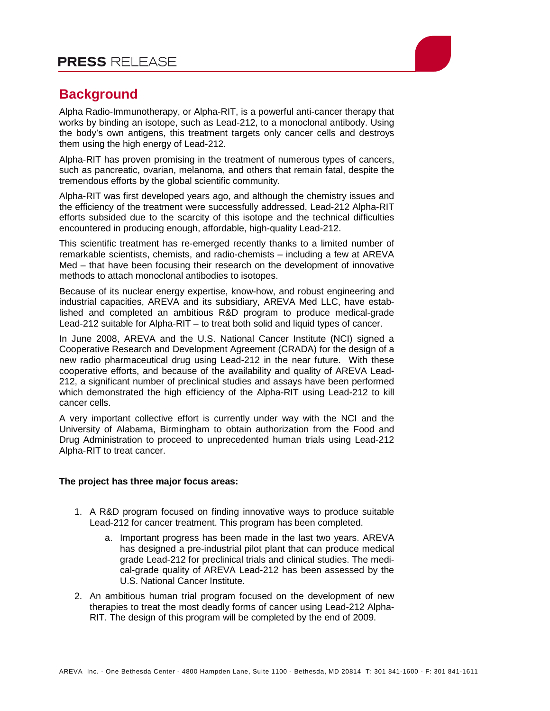

## **Background**

Alpha Radio-Immunotherapy, or Alpha-RIT, is a powerful anti-cancer therapy that works by binding an isotope, such as Lead-212, to a monoclonal antibody. Using the body's own antigens, this treatment targets only cancer cells and destroys them using the high energy of Lead-212.

Alpha-RIT has proven promising in the treatment of numerous types of cancers, such as pancreatic, ovarian, melanoma, and others that remain fatal, despite the tremendous efforts by the global scientific community.

Alpha-RIT was first developed years ago, and although the chemistry issues and the efficiency of the treatment were successfully addressed, Lead-212 Alpha-RIT efforts subsided due to the scarcity of this isotope and the technical difficulties encountered in producing enough, affordable, high-quality Lead-212.

This scientific treatment has re-emerged recently thanks to a limited number of remarkable scientists, chemists, and radio-chemists – including a few at AREVA Med – that have been focusing their research on the development of innovative methods to attach monoclonal antibodies to isotopes.

Because of its nuclear energy expertise, know-how, and robust engineering and industrial capacities, AREVA and its subsidiary, AREVA Med LLC, have established and completed an ambitious R&D program to produce medical-grade Lead-212 suitable for Alpha-RIT – to treat both solid and liquid types of cancer.

In June 2008, AREVA and the U.S. National Cancer Institute (NCI) signed a Cooperative Research and Development Agreement (CRADA) for the design of a new radio pharmaceutical drug using Lead-212 in the near future. With these cooperative efforts, and because of the availability and quality of AREVA Lead-212, a significant number of preclinical studies and assays have been performed which demonstrated the high efficiency of the Alpha-RIT using Lead-212 to kill cancer cells.

A very important collective effort is currently under way with the NCI and the University of Alabama, Birmingham to obtain authorization from the Food and Drug Administration to proceed to unprecedented human trials using Lead-212 Alpha-RIT to treat cancer.

### **The project has three major focus areas:**

- 1. A R&D program focused on finding innovative ways to produce suitable Lead-212 for cancer treatment. This program has been completed.
	- a. Important progress has been made in the last two years. AREVA has designed a pre-industrial pilot plant that can produce medical grade Lead-212 for preclinical trials and clinical studies. The medical-grade quality of AREVA Lead-212 has been assessed by the U.S. National Cancer Institute.
- 2. An ambitious human trial program focused on the development of new therapies to treat the most deadly forms of cancer using Lead-212 Alpha-RIT. The design of this program will be completed by the end of 2009.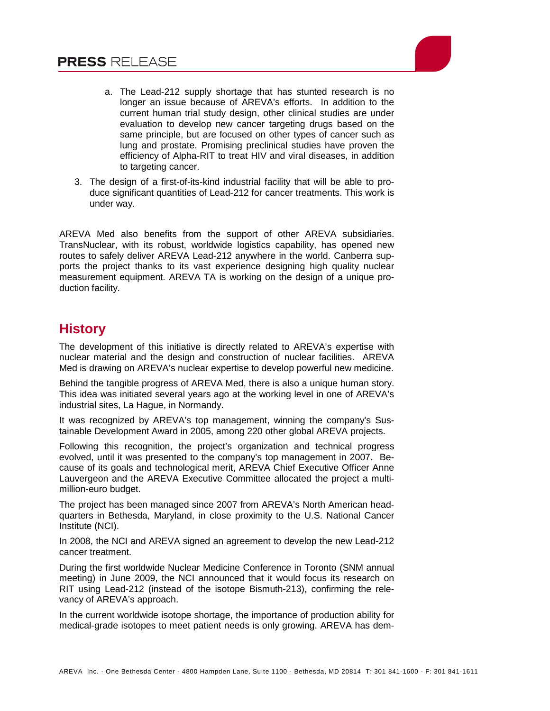

- a. The Lead-212 supply shortage that has stunted research is no longer an issue because of AREVA's efforts. In addition to the current human trial study design, other clinical studies are under evaluation to develop new cancer targeting drugs based on the same principle, but are focused on other types of cancer such as lung and prostate. Promising preclinical studies have proven the efficiency of Alpha-RIT to treat HIV and viral diseases, in addition to targeting cancer.
- 3. The design of a first-of-its-kind industrial facility that will be able to produce significant quantities of Lead-212 for cancer treatments. This work is under way.

AREVA Med also benefits from the support of other AREVA subsidiaries. TransNuclear, with its robust, worldwide logistics capability, has opened new routes to safely deliver AREVA Lead-212 anywhere in the world. Canberra supports the project thanks to its vast experience designing high quality nuclear measurement equipment. AREVA TA is working on the design of a unique production facility.

# **History**

The development of this initiative is directly related to AREVA's expertise with nuclear material and the design and construction of nuclear facilities. AREVA Med is drawing on AREVA's nuclear expertise to develop powerful new medicine.

Behind the tangible progress of AREVA Med, there is also a unique human story. This idea was initiated several years ago at the working level in one of AREVA's industrial sites, La Hague, in Normandy.

It was recognized by AREVA's top management, winning the company's Sustainable Development Award in 2005, among 220 other global AREVA projects.

Following this recognition, the project's organization and technical progress evolved, until it was presented to the company's top management in 2007. Because of its goals and technological merit, AREVA Chief Executive Officer Anne Lauvergeon and the AREVA Executive Committee allocated the project a multimillion-euro budget.

The project has been managed since 2007 from AREVA's North American headquarters in Bethesda, Maryland, in close proximity to the U.S. National Cancer Institute (NCI).

In 2008, the NCI and AREVA signed an agreement to develop the new Lead-212 cancer treatment.

During the first worldwide Nuclear Medicine Conference in Toronto (SNM annual meeting) in June 2009, the NCI announced that it would focus its research on RIT using Lead-212 (instead of the isotope Bismuth-213), confirming the relevancy of AREVA's approach.

In the current worldwide isotope shortage, the importance of production ability for medical-grade isotopes to meet patient needs is only growing. AREVA has dem-